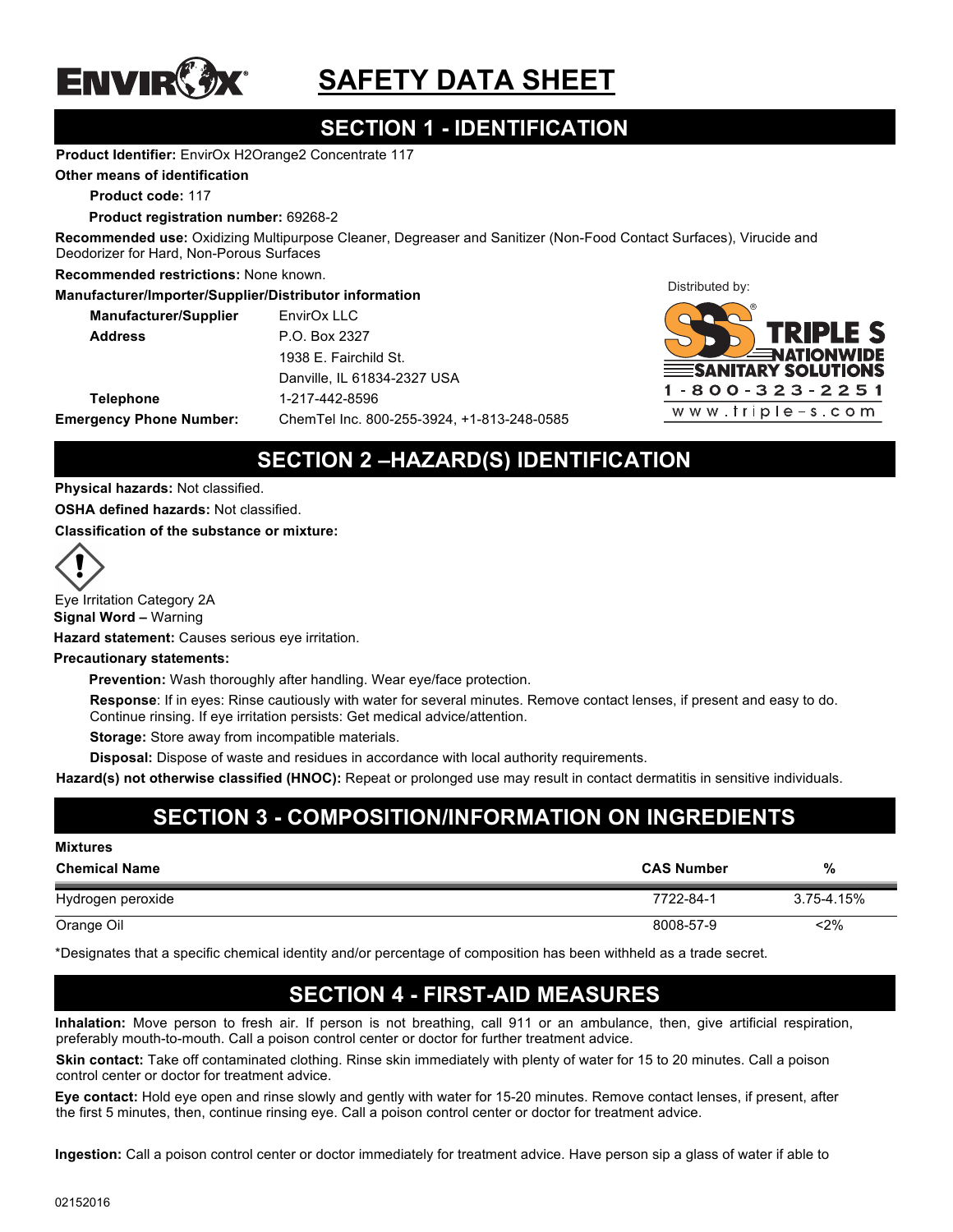

# **SAFETY DATA SHEET**

# **SECTION 1 - IDENTIFICATION**

### **Product Identifier:** EnvirOx H2Orange2 Concentrate 117

**Other means of identification**

**Product code:** 117

**Product registration number:** 69268-2

**Recommended use:** Oxidizing Multipurpose Cleaner, Degreaser and Sanitizer (Non-Food Contact Surfaces), Virucide and Deodorizer for Hard, Non-Porous Surfaces

**Recommended restrictions:** None known.

### **Manufacturer/Importer/Supplier/Distributor information**

| <b>Manufacturer/Supplier</b>   | EnvirOx LLC                                |
|--------------------------------|--------------------------------------------|
| <b>Address</b>                 | P.O. Box 2327                              |
|                                | 1938 E. Fairchild St.                      |
|                                | Danville, IL 61834-2327 USA                |
| <b>Telephone</b>               | 1-217-442-8596                             |
| <b>Emergency Phone Number:</b> | ChemTel Inc. 800-255-3924, +1-813-248-0585 |
|                                |                                            |



### **SECTION 2 –HAZARD(S) IDENTIFICATION**

**Physical hazards:** Not classified.

**OSHA defined hazards:** Not classified.

**Classification of the substance or mixture:**

Eye Irritation Category 2A **Signal Word –** Warning

**Hazard statement:** Causes serious eye irritation.

### **Precautionary statements:**

**Prevention:** Wash thoroughly after handling. Wear eye/face protection.

**Response**: If in eyes: Rinse cautiously with water for several minutes. Remove contact lenses, if present and easy to do. Continue rinsing. If eye irritation persists: Get medical advice/attention.

**Storage:** Store away from incompatible materials.

**Disposal:** Dispose of waste and residues in accordance with local authority requirements.

**Hazard(s) not otherwise classified (HNOC):** Repeat or prolonged use may result in contact dermatitis in sensitive individuals.

# **SECTION 3 - COMPOSITION/INFORMATION ON INGREDIENTS**

| <b>Mixtures</b>      |                   |            |  |  |
|----------------------|-------------------|------------|--|--|
| <b>Chemical Name</b> | <b>CAS Number</b> | %          |  |  |
| Hydrogen peroxide    | 7722-84-1         | 3.75-4.15% |  |  |
| Orange Oil           | 8008-57-9         | <2%        |  |  |

\*Designates that a specific chemical identity and/or percentage of composition has been withheld as a trade secret.

# **SECTION 4 - FIRST-AID MEASURES**

**Inhalation:** Move person to fresh air. If person is not breathing, call 911 or an ambulance, then, give artificial respiration, preferably mouth-to-mouth. Call a poison control center or doctor for further treatment advice.

**Skin contact:** Take off contaminated clothing. Rinse skin immediately with plenty of water for 15 to 20 minutes. Call a poison control center or doctor for treatment advice.

**Eye contact:** Hold eye open and rinse slowly and gently with water for 15-20 minutes. Remove contact lenses, if present, after the first 5 minutes, then, continue rinsing eye. Call a poison control center or doctor for treatment advice.

**Ingestion:** Call a poison control center or doctor immediately for treatment advice. Have person sip a glass of water if able to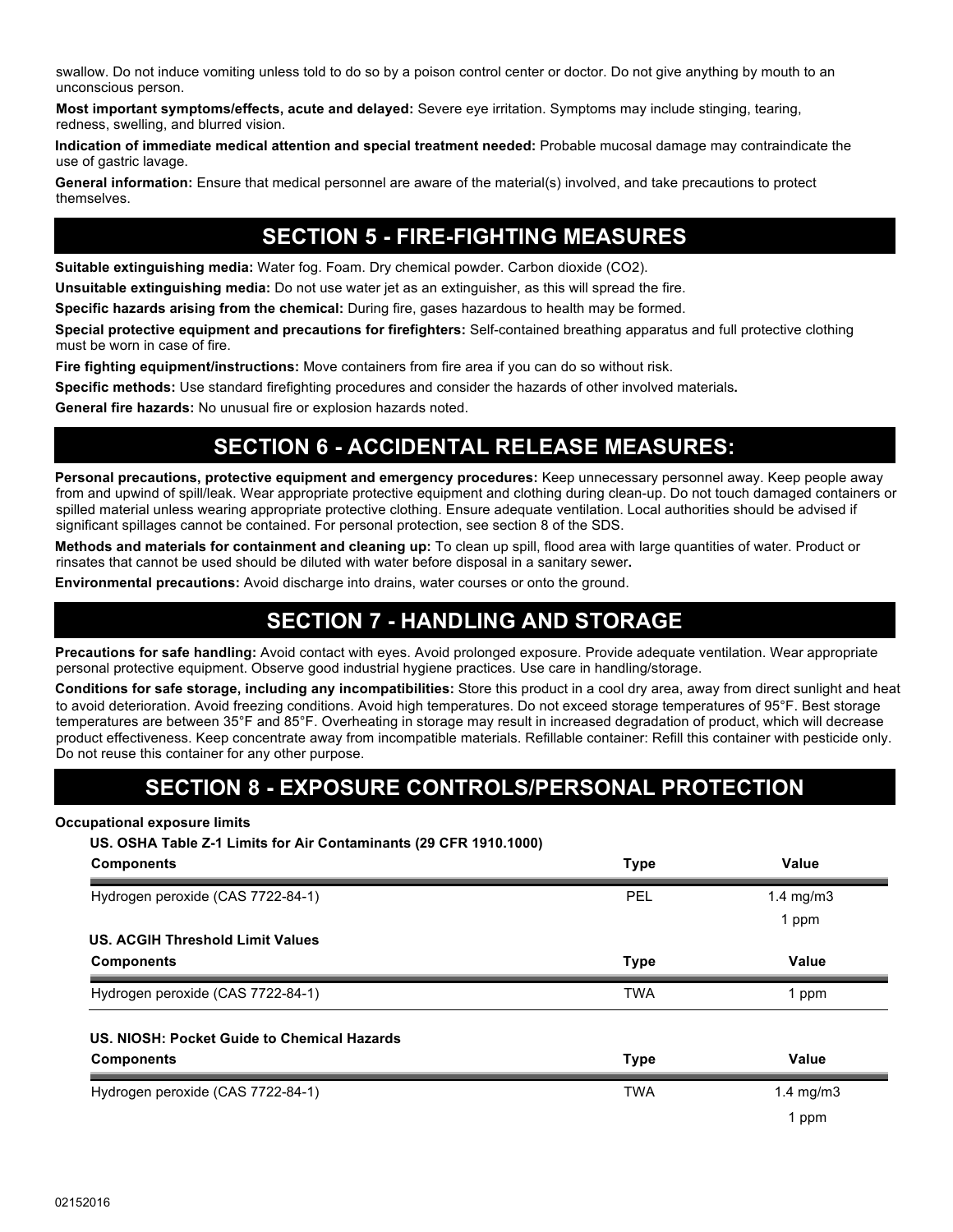swallow. Do not induce vomiting unless told to do so by a poison control center or doctor. Do not give anything by mouth to an unconscious person.

**Most important symptoms/effects, acute and delayed:** Severe eye irritation. Symptoms may include stinging, tearing, redness, swelling, and blurred vision.

**Indication of immediate medical attention and special treatment needed:** Probable mucosal damage may contraindicate the use of gastric lavage.

**General information:** Ensure that medical personnel are aware of the material(s) involved, and take precautions to protect themselves.

# **SECTION 5 - FIRE-FIGHTING MEASURES**

**Suitable extinguishing media:** Water fog. Foam. Dry chemical powder. Carbon dioxide (CO2).

**Unsuitable extinguishing media:** Do not use water jet as an extinguisher, as this will spread the fire.

**Specific hazards arising from the chemical:** During fire, gases hazardous to health may be formed.

**Special protective equipment and precautions for firefighters:** Self-contained breathing apparatus and full protective clothing must be worn in case of fire.

**Fire fighting equipment/instructions:** Move containers from fire area if you can do so without risk.

**Specific methods:** Use standard firefighting procedures and consider the hazards of other involved materials**.**

**General fire hazards:** No unusual fire or explosion hazards noted.

### **SECTION 6 - ACCIDENTAL RELEASE MEASURES:**

**Personal precautions, protective equipment and emergency procedures:** Keep unnecessary personnel away. Keep people away from and upwind of spill/leak. Wear appropriate protective equipment and clothing during clean-up. Do not touch damaged containers or spilled material unless wearing appropriate protective clothing. Ensure adequate ventilation. Local authorities should be advised if significant spillages cannot be contained. For personal protection, see section 8 of the SDS.

**Methods and materials for containment and cleaning up:** To clean up spill, flood area with large quantities of water. Product or rinsates that cannot be used should be diluted with water before disposal in a sanitary sewer**.**

**Environmental precautions:** Avoid discharge into drains, water courses or onto the ground.

# **SECTION 7 - HANDLING AND STORAGE**

**Precautions for safe handling:** Avoid contact with eyes. Avoid prolonged exposure. Provide adequate ventilation. Wear appropriate personal protective equipment. Observe good industrial hygiene practices. Use care in handling/storage.

**Conditions for safe storage, including any incompatibilities:** Store this product in a cool dry area, away from direct sunlight and heat to avoid deterioration. Avoid freezing conditions. Avoid high temperatures. Do not exceed storage temperatures of 95°F. Best storage temperatures are between 35°F and 85°F. Overheating in storage may result in increased degradation of product, which will decrease product effectiveness. Keep concentrate away from incompatible materials. Refillable container: Refill this container with pesticide only. Do not reuse this container for any other purpose.

### **SECTION 8 - EXPOSURE CONTROLS/PERSONAL PROTECTION**

### **Occupational exposure limits**

**US. OSHA Table Z-1 Limits for Air Contaminants (29 CFR 1910.1000)**

| <b>Components</b>                           | <b>Type</b> | Value                |
|---------------------------------------------|-------------|----------------------|
| Hydrogen peroxide (CAS 7722-84-1)           | PEL         | 1.4 mg/m $3$         |
|                                             |             | 1 ppm                |
| US. ACGIH Threshold Limit Values            |             |                      |
| <b>Components</b>                           | <b>Type</b> | <b>Value</b>         |
| Hydrogen peroxide (CAS 7722-84-1)           | <b>TWA</b>  | 1 ppm                |
| US. NIOSH: Pocket Guide to Chemical Hazards |             |                      |
| <b>Components</b>                           | <b>Type</b> | Value                |
| Hydrogen peroxide (CAS 7722-84-1)           | <b>TWA</b>  | $1.4 \text{ mg/m}$ 3 |
|                                             |             | 1 ppm                |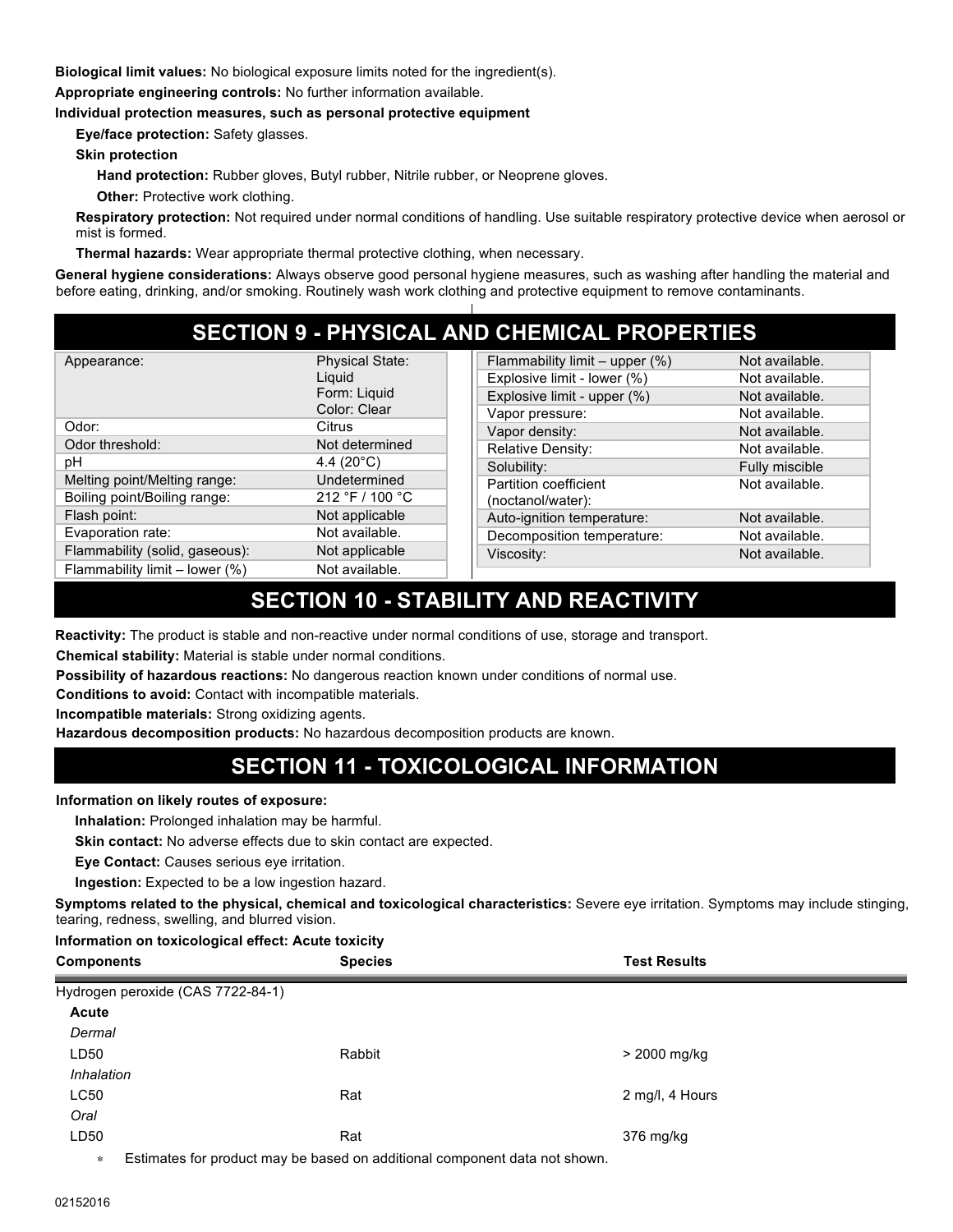**Biological limit values:** No biological exposure limits noted for the ingredient(s).

**Appropriate engineering controls:** No further information available.

### **Individual protection measures, such as personal protective equipment**

**Eye/face protection:** Safety glasses.

**Skin protection**

**Hand protection:** Rubber gloves, Butyl rubber, Nitrile rubber, or Neoprene gloves.

**Other: Protective work clothing.** 

**Respiratory protection:** Not required under normal conditions of handling. Use suitable respiratory protective device when aerosol or mist is formed.

**Thermal hazards:** Wear appropriate thermal protective clothing, when necessary.

**General hygiene considerations:** Always observe good personal hygiene measures, such as washing after handling the material and before eating, drinking, and/or smoking. Routinely wash work clothing and protective equipment to remove contaminants.

# **SECTION 9 - PHYSICAL AND CHEMICAL PROPERTIES**

| Appearance:                      | <b>Physical State:</b> | Flammability limit - upper (%) | Not available. |
|----------------------------------|------------------------|--------------------------------|----------------|
|                                  | Liguid                 | Explosive limit - lower (%)    | Not available. |
|                                  | Form: Liquid           | Explosive limit - upper (%)    | Not available. |
|                                  | Color: Clear           | Vapor pressure:                | Not available. |
| Odor:                            | Citrus                 | Vapor density:                 | Not available. |
| Odor threshold:                  | Not determined         | <b>Relative Density:</b>       | Not available. |
| рH                               | 4.4 $(20^{\circ}C)$    | Solubility:                    | Fully miscible |
| Melting point/Melting range:     | Undetermined           | Partition coefficient          | Not available. |
| Boiling point/Boiling range:     | 212 °F / 100 °C        | (noctanol/water):              |                |
| Flash point:                     | Not applicable         | Auto-ignition temperature:     | Not available. |
| Evaporation rate:                | Not available.         | Decomposition temperature:     | Not available. |
| Flammability (solid, gaseous):   | Not applicable         | Viscosity:                     | Not available. |
| Flammability limit $-$ lower (%) | Not available.         |                                |                |

# **SECTION 10 - STABILITY AND REACTIVITY**

**Reactivity:** The product is stable and non-reactive under normal conditions of use, storage and transport.

**Chemical stability:** Material is stable under normal conditions.

**Possibility of hazardous reactions:** No dangerous reaction known under conditions of normal use.

**Conditions to avoid:** Contact with incompatible materials.

**Incompatible materials:** Strong oxidizing agents.

**Hazardous decomposition products:** No hazardous decomposition products are known.

# **SECTION 11 - TOXICOLOGICAL INFORMATION**

### **Information on likely routes of exposure:**

**Inhalation:** Prolonged inhalation may be harmful.

**Skin contact:** No adverse effects due to skin contact are expected.

**Eye Contact:** Causes serious eye irritation.

**Ingestion:** Expected to be a low ingestion hazard.

**Symptoms related to the physical, chemical and toxicological characteristics:** Severe eye irritation. Symptoms may include stinging, tearing, redness, swelling, and blurred vision.

### **Information on toxicological effect: Acute toxicity**

| <b>Components</b>                 | <b>Species</b> | <b>Test Results</b> |  |
|-----------------------------------|----------------|---------------------|--|
| Hydrogen peroxide (CAS 7722-84-1) |                |                     |  |
| Acute                             |                |                     |  |
| Dermal                            |                |                     |  |
| LD50                              | Rabbit         | > 2000 mg/kg        |  |
| Inhalation                        |                |                     |  |
| LC50                              | Rat            | 2 mg/l, 4 Hours     |  |
| Oral                              |                |                     |  |
| LD50                              | Rat            | 376 mg/kg           |  |
|                                   |                |                     |  |

Estimates for product may be based on additional component data not shown.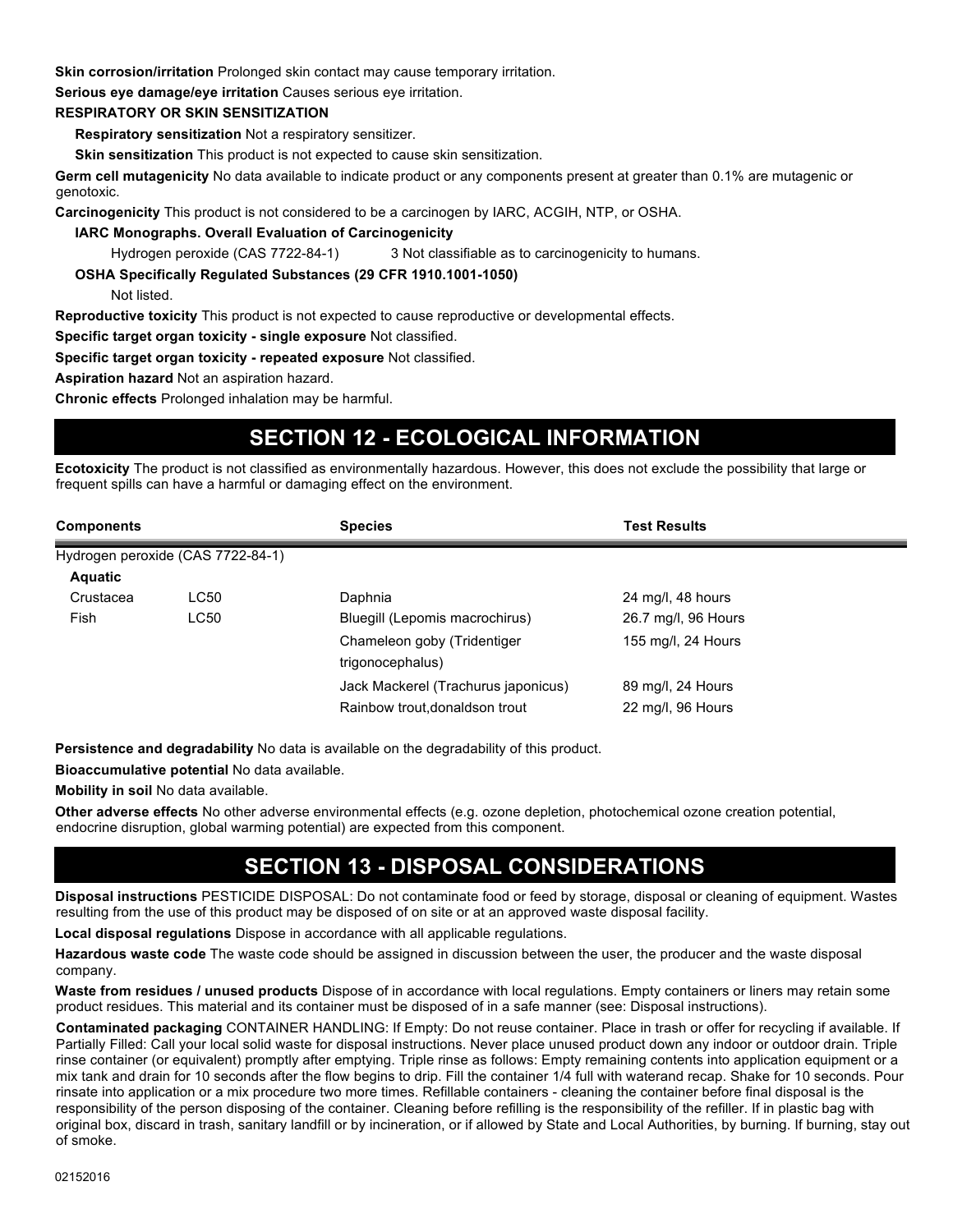**Skin corrosion/irritation** Prolonged skin contact may cause temporary irritation.

**Serious eye damage/eye irritation** Causes serious eye irritation.

### **RESPIRATORY OR SKIN SENSITIZATION**

**Respiratory sensitization** Not a respiratory sensitizer.

**Skin sensitization** This product is not expected to cause skin sensitization.

**Germ cell mutagenicity** No data available to indicate product or any components present at greater than 0.1% are mutagenic or genotoxic.

**Carcinogenicity** This product is not considered to be a carcinogen by IARC, ACGIH, NTP, or OSHA.

### **IARC Monographs. Overall Evaluation of Carcinogenicity**

Hydrogen peroxide (CAS 7722-84-1) 3 Not classifiable as to carcinogenicity to humans.

**OSHA Specifically Regulated Substances (29 CFR 1910.1001-1050)**

Not listed.

**Reproductive toxicity** This product is not expected to cause reproductive or developmental effects.

**Specific target organ toxicity - single exposure** Not classified.

**Specific target organ toxicity - repeated exposure** Not classified.

**Aspiration hazard** Not an aspiration hazard.

**Chronic effects** Prolonged inhalation may be harmful.

### **SECTION 12 - ECOLOGICAL INFORMATION**

**Ecotoxicity** The product is not classified as environmentally hazardous. However, this does not exclude the possibility that large or frequent spills can have a harmful or damaging effect on the environment.

| Components        |                                   | <b>Species</b>                                                        | <b>Test Results</b>                      |  |
|-------------------|-----------------------------------|-----------------------------------------------------------------------|------------------------------------------|--|
| <b>Aquatic</b>    | Hydrogen peroxide (CAS 7722-84-1) |                                                                       |                                          |  |
| Crustacea<br>Fish | <b>LC50</b><br>LC50               | Daphnia<br>Bluegill (Lepomis macrochirus)                             | 24 mg/l, 48 hours<br>26.7 mg/l, 96 Hours |  |
|                   |                                   | Chameleon goby (Tridentiger<br>trigonocephalus)                       | 155 mg/l, 24 Hours                       |  |
|                   |                                   | Jack Mackerel (Trachurus japonicus)<br>Rainbow trout, donaldson trout | 89 mg/l, 24 Hours<br>22 mg/l, 96 Hours   |  |

**Persistence and degradability** No data is available on the degradability of this product.

**Bioaccumulative potential** No data available.

**Mobility in soil** No data available.

**Other adverse effects** No other adverse environmental effects (e.g. ozone depletion, photochemical ozone creation potential, endocrine disruption, global warming potential) are expected from this component.

### **SECTION 13 - DISPOSAL CONSIDERATIONS**

**Disposal instructions** PESTICIDE DISPOSAL: Do not contaminate food or feed by storage, disposal or cleaning of equipment. Wastes resulting from the use of this product may be disposed of on site or at an approved waste disposal facility.

**Local disposal regulations** Dispose in accordance with all applicable regulations.

**Hazardous waste code** The waste code should be assigned in discussion between the user, the producer and the waste disposal company.

**Waste from residues / unused products** Dispose of in accordance with local regulations. Empty containers or liners may retain some product residues. This material and its container must be disposed of in a safe manner (see: Disposal instructions).

**Contaminated packaging** CONTAINER HANDLING: If Empty: Do not reuse container. Place in trash or offer for recycling if available. If Partially Filled: Call your local solid waste for disposal instructions. Never place unused product down any indoor or outdoor drain. Triple rinse container (or equivalent) promptly after emptying. Triple rinse as follows: Empty remaining contents into application equipment or a mix tank and drain for 10 seconds after the flow begins to drip. Fill the container 1/4 full with waterand recap. Shake for 10 seconds. Pour rinsate into application or a mix procedure two more times. Refillable containers - cleaning the container before final disposal is the responsibility of the person disposing of the container. Cleaning before refilling is the responsibility of the refiller. If in plastic bag with original box, discard in trash, sanitary landfill or by incineration, or if allowed by State and Local Authorities, by burning. If burning, stay out of smoke.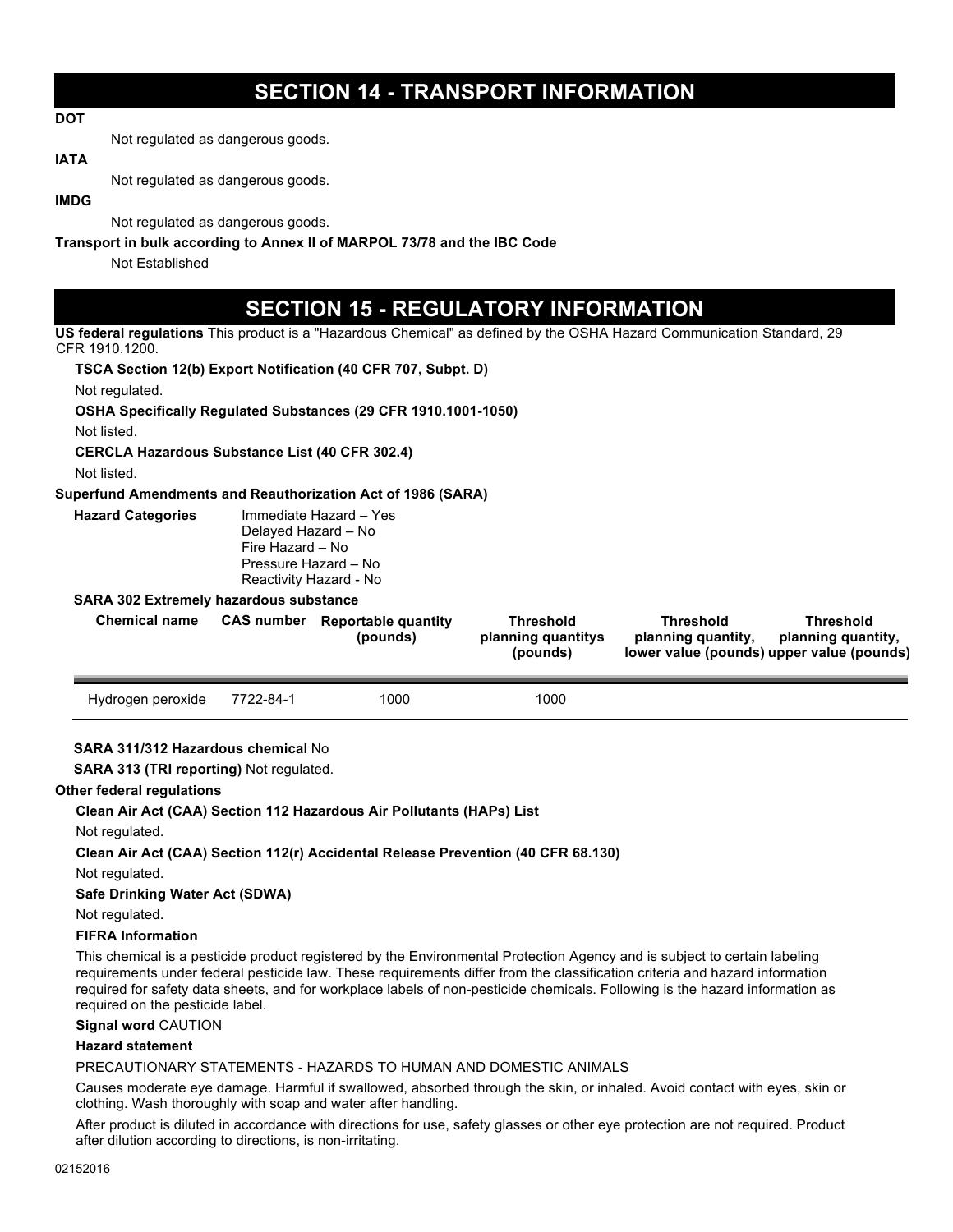### **SECTION 14 - TRANSPORT INFORMATION**

**DOT**

Not regulated as dangerous goods.

#### **IATA**

Not regulated as dangerous goods.

### **IMDG**

Not regulated as dangerous goods.

### **Transport in bulk according to Annex II of MARPOL 73/78 and the IBC Code**

Not Established

### **SECTION 15 - REGULATORY INFORMATION**

**US federal regulations** This product is a "Hazardous Chemical" as defined by the OSHA Hazard Communication Standard, 29 CFR 1910.1200.

**TSCA Section 12(b) Export Notification (40 CFR 707, Subpt. D)**

Not regulated.

**OSHA Specifically Regulated Substances (29 CFR 1910.1001-1050)**

Not listed.

**CERCLA Hazardous Substance List (40 CFR 302.4)**

Not listed.

### **Superfund Amendments and Reauthorization Act of 1986 (SARA)**

| <b>Hazard Categories</b> |
|--------------------------|
|                          |

**Immediate Hazard – Yes** Delayed Hazard – No Fire Hazard – No Pressure Hazard – No Reactivity Hazard - No

#### **SARA 302 Extremely hazardous substance**

| <b>Chemical name</b> | <b>CAS number</b> | Reportable quantity<br>(pounds) | <b>Threshold</b><br>planning quantitys<br>(pounds) | <b>Threshold</b><br>planning quantity,<br>lower value (pounds) upper value (pounds) | <b>Threshold</b><br>planning quantity, |
|----------------------|-------------------|---------------------------------|----------------------------------------------------|-------------------------------------------------------------------------------------|----------------------------------------|
| Hydrogen peroxide    | 7722-84-1         | 1000                            | 1000                                               |                                                                                     |                                        |

### **SARA 311/312 Hazardous chemical** No

**SARA 313 (TRI reporting)** Not regulated.

### **Other federal regulations**

**Clean Air Act (CAA) Section 112 Hazardous Air Pollutants (HAPs) List**

Not regulated.

**Clean Air Act (CAA) Section 112(r) Accidental Release Prevention (40 CFR 68.130)**

Not regulated.

### **Safe Drinking Water Act (SDWA)**

Not regulated.

### **FIFRA Information**

This chemical is a pesticide product registered by the Environmental Protection Agency and is subject to certain labeling requirements under federal pesticide law. These requirements differ from the classification criteria and hazard information required for safety data sheets, and for workplace labels of non-pesticide chemicals. Following is the hazard information as required on the pesticide label.

#### **Signal word** CAUTION

### **Hazard statement**

PRECAUTIONARY STATEMENTS - HAZARDS TO HUMAN AND DOMESTIC ANIMALS

Causes moderate eye damage. Harmful if swallowed, absorbed through the skin, or inhaled. Avoid contact with eyes, skin or clothing. Wash thoroughly with soap and water after handling.

After product is diluted in accordance with directions for use, safety glasses or other eye protection are not required. Product after dilution according to directions, is non-irritating.